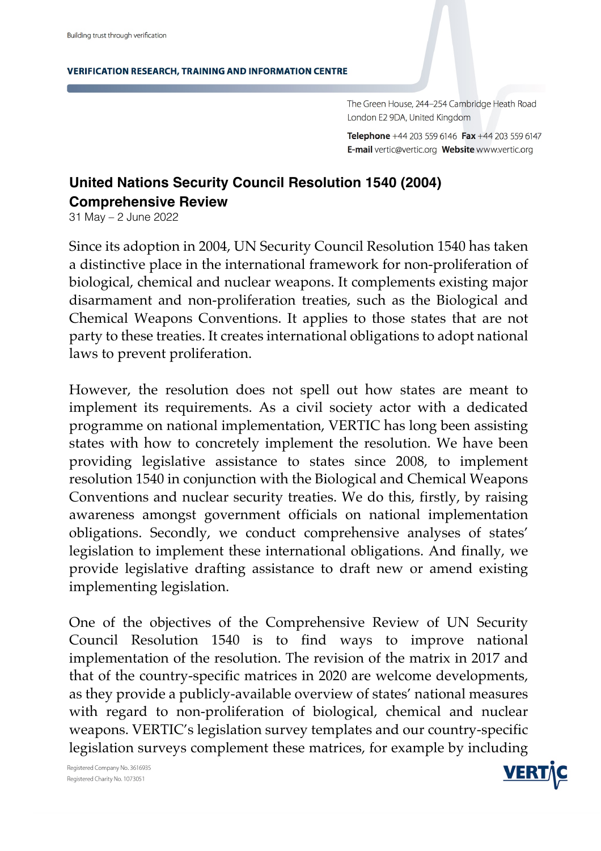**VERIFICATION RESEARCH, TRAINING AND INFORMATION CENTRE** 

The Green House, 244-254 Cambridge Heath Road London E2 9DA, United Kingdom

Telephone +44 203 559 6146 Fax +44 203 559 6147 E-mail vertic@vertic.org Website www.vertic.org

## **United Nations Security Council Resolution 1540 (2004) Comprehensive Review**

31 May – 2 June 2022

Since its adoption in 2004, UN Security Council Resolution 1540 has taken a distinctive place in the international framework for non-proliferation of biological, chemical and nuclear weapons. It complements existing major disarmament and non-proliferation treaties, such as the Biological and Chemical Weapons Conventions. It applies to those states that are not party to these treaties. It creates international obligations to adopt national laws to prevent proliferation.

However, the resolution does not spell out how states are meant to implement its requirements. As a civil society actor with a dedicated programme on national implementation, VERTIC has long been assisting states with how to concretely implement the resolution. We have been providing legislative assistance to states since 2008, to implement resolution 1540 in conjunction with the Biological and Chemical Weapons Conventions and nuclear security treaties. We do this, firstly, by raising awareness amongst government officials on national implementation obligations. Secondly, we conduct comprehensive analyses of states' legislation to implement these international obligations. And finally, we provide legislative drafting assistance to draft new or amend existing implementing legislation.

One of the objectives of the Comprehensive Review of UN Security Council Resolution 1540 is to find ways to improve national implementation of the resolution. The revision of the matrix in 2017 and that of the country-specific matrices in 2020 are welcome developments, as they provide a publicly-available overview of states' national measures with regard to non-proliferation of biological, chemical and nuclear weapons. VERTIC's legislation survey templates and our country-specific legislation surveys complement these matrices, for example by including